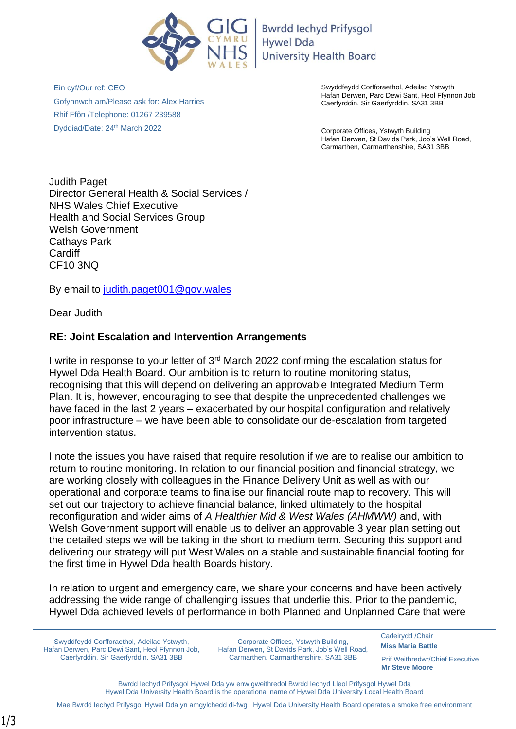

**Bwrdd lechyd Prifysgol Hywel Dda University Health Board** 

Ein cyf/Our ref: CEO Gofynnwch am/Please ask for: Alex Harries Rhif Ffôn /Telephone: 01267 239588 Dyddiad/Date: 24th March 2022

Swyddfeydd Corfforaethol, Adeilad Ystwyth Hafan Derwen, Parc Dewi Sant, Heol Ffynnon Job Caerfyrddin, Sir Gaerfyrddin, SA31 3BB

Corporate Offices, Ystwyth Building Hafan Derwen, St Davids Park, Job's Well Road, Carmarthen, Carmarthenshire, SA31 3BB

Judith Paget Director General Health & Social Services / NHS Wales Chief Executive Health and Social Services Group Welsh Government Cathays Park **Cardiff** CF10 3NQ

By email to [judith.paget001@gov.wales](mailto:judith.paget001@gov.wales)

Dear Judith

## **RE: Joint Escalation and Intervention Arrangements**

I write in response to your letter of 3rd March 2022 confirming the escalation status for Hywel Dda Health Board. Our ambition is to return to routine monitoring status, recognising that this will depend on delivering an approvable Integrated Medium Term Plan. It is, however, encouraging to see that despite the unprecedented challenges we have faced in the last 2 years – exacerbated by our hospital configuration and relatively poor infrastructure – we have been able to consolidate our de-escalation from targeted intervention status.

I note the issues you have raised that require resolution if we are to realise our ambition to return to routine monitoring. In relation to our financial position and financial strategy, we are working closely with colleagues in the Finance Delivery Unit as well as with our operational and corporate teams to finalise our financial route map to recovery. This will set out our trajectory to achieve financial balance, linked ultimately to the hospital reconfiguration and wider aims of *A Healthier Mid & West Wales (AHMWW)* and, with Welsh Government support will enable us to deliver an approvable 3 year plan setting out the detailed steps we will be taking in the short to medium term. Securing this support and delivering our strategy will put West Wales on a stable and sustainable financial footing for the first time in Hywel Dda health Boards history.

In relation to urgent and emergency care, we share your concerns and have been actively addressing the wide range of challenging issues that underlie this. Prior to the pandemic, Hywel Dda achieved levels of performance in both Planned and Unplanned Care that were

Swyddfeydd Corfforaethol, Adeilad Ystwyth, Hafan Derwen, Parc Dewi Sant, Heol Ffynnon Job, Caerfyrddin, Sir Gaerfyrddin, SA31 3BB

Corporate Offices, Ystwyth Building, Hafan Derwen, St Davids Park, Job's Well Road, Carmarthen, Carmarthenshire, SA31 3BB

[Cadeirydd /C](http://www.wales.nhs.uk/sitesplus/862/tudalen/91587)hair **Miss Maria Battle**

Prif Weithredwr/Chief Executive **Mr Steve Moore**

Bwrdd Iechyd Prifysgol Hywel Dda yw enw gweithredol Bwrdd Iechyd Lleol Prifysgol Hywel Dda Hywel Dda University Health Board is the operational name of Hywel Dda University Local Health Board

Mae Bwrdd Iechyd Prifysgol Hywel Dda yn amgylchedd di-fwg Hywel Dda University Health Board operates a smoke free environment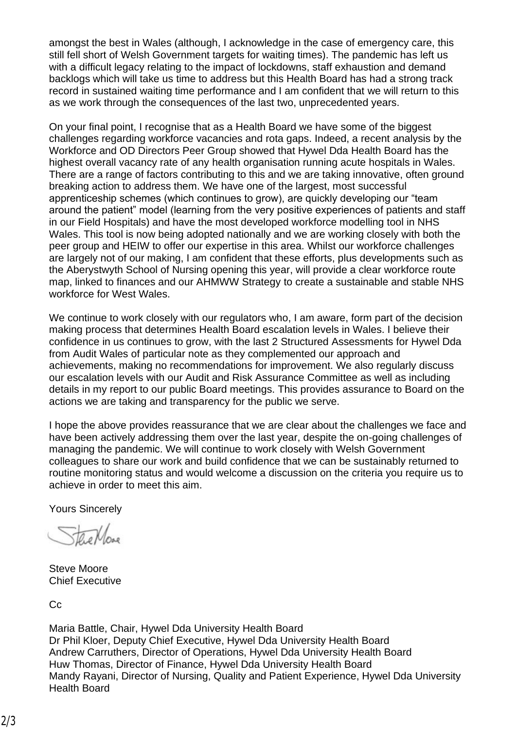amongst the best in Wales (although, I acknowledge in the case of emergency care, this still fell short of Welsh Government targets for waiting times). The pandemic has left us with a difficult legacy relating to the impact of lockdowns, staff exhaustion and demand backlogs which will take us time to address but this Health Board has had a strong track record in sustained waiting time performance and I am confident that we will return to this as we work through the consequences of the last two, unprecedented years.

On your final point, I recognise that as a Health Board we have some of the biggest challenges regarding workforce vacancies and rota gaps. Indeed, a recent analysis by the Workforce and OD Directors Peer Group showed that Hywel Dda Health Board has the highest overall vacancy rate of any health organisation running acute hospitals in Wales. There are a range of factors contributing to this and we are taking innovative, often ground breaking action to address them. We have one of the largest, most successful apprenticeship schemes (which continues to grow), are quickly developing our "team around the patient" model (learning from the very positive experiences of patients and staff in our Field Hospitals) and have the most developed workforce modelling tool in NHS Wales. This tool is now being adopted nationally and we are working closely with both the peer group and HEIW to offer our expertise in this area. Whilst our workforce challenges are largely not of our making, I am confident that these efforts, plus developments such as the Aberystwyth School of Nursing opening this year, will provide a clear workforce route map, linked to finances and our AHMWW Strategy to create a sustainable and stable NHS workforce for West Wales.

We continue to work closely with our regulators who, I am aware, form part of the decision making process that determines Health Board escalation levels in Wales. I believe their confidence in us continues to grow, with the last 2 Structured Assessments for Hywel Dda from Audit Wales of particular note as they complemented our approach and achievements, making no recommendations for improvement. We also regularly discuss our escalation levels with our Audit and Risk Assurance Committee as well as including details in my report to our public Board meetings. This provides assurance to Board on the actions we are taking and transparency for the public we serve.

I hope the above provides reassurance that we are clear about the challenges we face and have been actively addressing them over the last year, despite the on-going challenges of managing the pandemic. We will continue to work closely with Welsh Government colleagues to share our work and build confidence that we can be sustainably returned to routine monitoring status and would welcome a discussion on the criteria you require us to achieve in order to meet this aim.

Yours Sincerely

Steve Moore Chief Executive

Cc

Maria Battle, Chair, Hywel Dda University Health Board Dr Phil Kloer, Deputy Chief Executive, Hywel Dda University Health Board Andrew Carruthers, Director of Operations, Hywel Dda University Health Board Huw Thomas, Director of Finance, Hywel Dda University Health Board Mandy Rayani, Director of Nursing, Quality and Patient Experience, Hywel Dda University Health Board